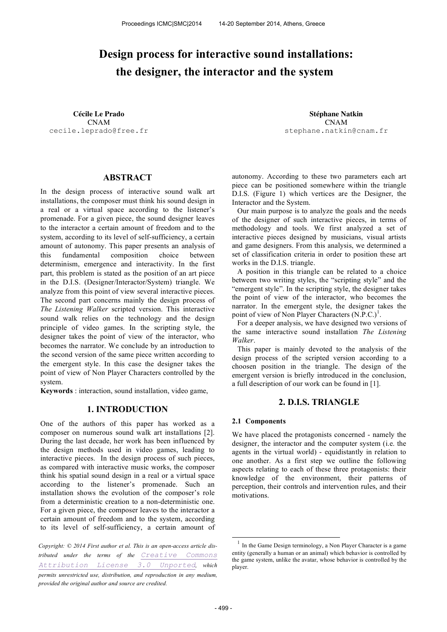# **Design process for interactive sound installations: the designer, the interactor and the system**

CNAM cecile.leprado@free.fr

**Cécile Le Prado Stéphane Natkin** CNAM stephane.natkin@cnam.fr

## **ABSTRACT**

In the design process of interactive sound walk art installations, the composer must think his sound design in a real or a virtual space according to the listener's promenade. For a given piece, the sound designer leaves to the interactor a certain amount of freedom and to the system, according to its level of self-sufficiency, a certain amount of autonomy. This paper presents an analysis of this fundamental composition choice between determinism, emergence and interactivity. In the first part, this problem is stated as the position of an art piece in the D.I.S. (Designer/Interactor/System) triangle. We analyze from this point of view several interactive pieces. The second part concerns mainly the design process of *The Listening Walker* scripted version. This interactive sound walk relies on the technology and the design principle of video games. In the scripting style, the designer takes the point of view of the interactor, who becomes the narrator. We conclude by an introduction to the second version of the same piece written according to the emergent style. In this case the designer takes the point of view of Non Player Characters controlled by the system.

**Keywords** : interaction, sound installation, video game,

### **1. INTRODUCTION**

One of the authors of this paper has worked as a composer on numerous sound walk art installations [2]. During the last decade, her work has been influenced by the design methods used in video games, leading to interactive pieces. In the design process of such pieces, as compared with interactive music works, the composer think his spatial sound design in a real or a virtual space according to the listener's promenade. Such an installation shows the evolution of the composer's role from a deterministic creation to a non-deterministic one. For a given piece, the composer leaves to the interactor a certain amount of freedom and to the system, according to its level of self-sufficiency, a certain amount of

*Copyright: © 2014 First author et al. This is an open-access article distributed under the terms of the Creative Commons Attribution License 3.0 Unported, which permits unrestricted use, distribution, and reproduction in any medium, provided the original author and source are credited.*

autonomy. According to these two parameters each art piece can be positioned somewhere within the triangle D.I.S. (Figure 1) which vertices are the Designer, the Interactor and the System.

Our main purpose is to analyze the goals and the needs of the designer of such interactive pieces, in terms of methodology and tools. We first analyzed a set of interactive pieces designed by musicians, visual artists and game designers. From this analysis, we determined a set of classification criteria in order to position these art works in the D.I.S. triangle.

A position in this triangle can be related to a choice between two writing styles, the "scripting style" and the "emergent style". In the scripting style, the designer takes the point of view of the interactor, who becomes the narrator. In the emergent style, the designer takes the point of view of Non Player Characters  $(N.P.C.)<sup>1</sup>$ .

For a deeper analysis, we have designed two versions of the same interactive sound installation *The Listening Walker*.

This paper is mainly devoted to the analysis of the design process of the scripted version according to a choosen position in the triangle. The design of the emergent version is briefly introduced in the conclusion, a full description of our work can be found in [1].

#### **2. D.I.S. TRIANGLE**

#### **2.1 Components**

We have placed the protagonists concerned - namely the designer, the interactor and the computer system (i.e. the agents in the virtual world) - equidistantly in relation to one another. As a first step we outline the following aspects relating to each of these three protagonists: their knowledge of the environment, their patterns of perception, their controls and intervention rules, and their motivations.

1

<sup>1</sup> In the Game Design terminology, a Non Player Character is a game entity (generally a human or an animal) which behavior is controlled by the game system, unlike the avatar, whose behavior is controlled by the player.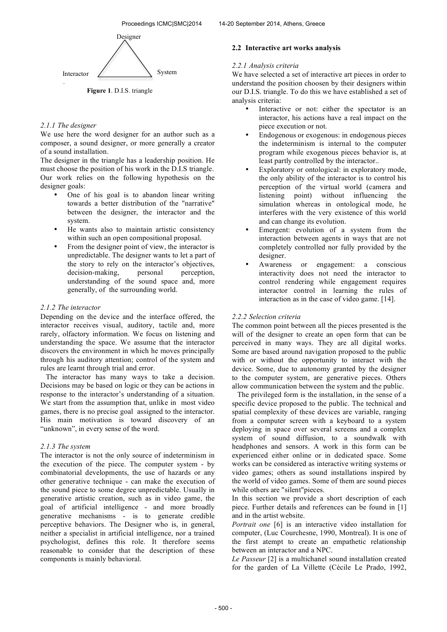

**Figure 1**. D.I.S. triangle

#### *2.1.1 The designer*

We use here the word designer for an author such as a composer, a sound designer, or more generally a creator of a sound installation.

The designer in the triangle has a leadership position. He must choose the position of his work in the D.I.S triangle. Our work relies on the following hypothesis on the designer goals:

- One of his goal is to abandon linear writing towards a better distribution of the "narrative" between the designer, the interactor and the system.
- He wants also to maintain artistic consistency within such an open compositional proposal.
- From the designer point of view, the interactor is unpredictable. The designer wants to let a part of the story to rely on the interactor's objectives,<br>decision-making, personal perception. decision-making, personal perception, understanding of the sound space and, more generally, of the surrounding world.

#### *2.1.2 The interactor*

Depending on the device and the interface offered, the interactor receives visual, auditory, tactile and, more rarely, olfactory information. We focus on listening and understanding the space. We assume that the interactor discovers the environment in which he moves principally through his auditory attention; control of the system and rules are learnt through trial and error.

The interactor has many ways to take a decision. Decisions may be based on logic or they can be actions in response to the interactor's understanding of a situation. We start from the assumption that, unlike in most video games, there is no precise goal assigned to the interactor. His main motivation is toward discovery of an "unknown", in every sense of the word.

## *2.1.3 The system*

The interactor is not the only source of indeterminism in the execution of the piece. The computer system - by combinatorial developments, the use of hazards or any other generative technique - can make the execution of the sound piece to some degree unpredictable. Usually in generative artistic creation, such as in video game, the goal of artificial intelligence - and more broadly generative mechanisms - is to generate credible perceptive behaviors. The Designer who is, in general, neither a specialist in artificial intelligence, nor a trained psychologist, defines this role. It therefore seems reasonable to consider that the description of these components is mainly behavioral.

## **2.2 Interactive art works analysis**

#### *2.2.1 Analysis criteria*

We have selected a set of interactive art pieces in order to understand the position choosen by their designers within our D.I.S. triangle. To do this we have established a set of analysis criteria:

- Interactive or not: either the spectator is an interactor, his actions have a real impact on the piece execution or not.
- Endogenous or exogenous: in endogenous pieces the indeterminism is internal to the computer program while exogenous pieces behavior is, at least partly controlled by the interactor..
- Exploratory or ontological: in exploratory mode, the only ability of the interactor is to control his perception of the virtual world (camera and listening point) without influencing the simulation whereas in ontological mode, he interferes with the very existence of this world and can change its evolution.
- Emergent: evolution of a system from the interaction between agents in ways that are not completely controlled nor fully provided by the designer.
- Awareness or engagement: a conscious interactivity does not need the interactor to control rendering while engagement requires interactor control in learning the rules of interaction as in the case of video game. [14].

#### *2.2.2 Selection criteria*

The common point between all the pieces presented is the will of the designer to create an open form that can be perceived in many ways. They are all digital works. Some are based around navigation proposed to the public with or without the opportunity to interact with the device. Some, due to autonomy granted by the designer to the computer system, are generative pieces. Others allow communication between the system and the public.

The privileged form is the installation, in the sense of a specific device proposed to the public. The technical and spatial complexity of these devices are variable, ranging from a computer screen with a keyboard to a system deploying in space over several screens and a complex system of sound diffusion, to a soundwalk with headphones and sensors. A work in this form can be experienced either online or in dedicated space. Some works can be considered as interactive writing systems or video games; others as sound installations inspired by the world of video games. Some of them are sound pieces while others are "silent"pieces.

In this section we provide a short description of each piece. Further details and references can be found in [1] and in the artist website.

*Portrait one* [6] is an interactive video installation for computer, (Luc Courchesne, 1990, Montreal). It is one of the first atempt to create an empathetic relationship between an interactor and a NPC.

*Le Passeur* [2] is a multichanel sound installation created for the garden of La Villette (Cécile Le Prado, 1992,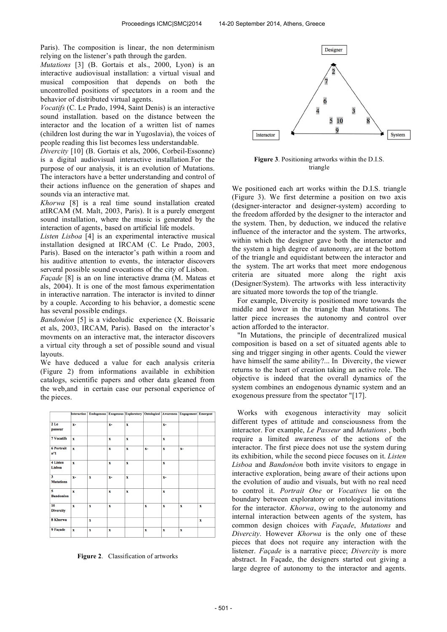Paris). The composition is linear, the non determinism relying on the listener's path through the garden.

*Mutations* [3] (B. Gortais et als., 2000, Lyon) is an interactive audiovisual installation: a virtual visual and musical composition that depends on both the uncontrolled positions of spectators in a room and the behavior of distributed virtual agents.

*Vocatifs* (C. Le Prado, 1994, Saint Denis) is an interactive sound installation. based on the distance between the interactor and the location of a written list of names (children lost during the war in Yugoslavia), the voices of people reading this list becomes less understandable.

*Divercity* [10] (B. Gortais et als, 2006, Corbeil-Essonne) is a digital audiovisual interactive installation.For the purpose of our analysis, it is an evolution of Mutations. The interactors have a better understanding and control of their actions influence on the generation of shapes and sounds via an interactive mat.

*Khorwa* [8] is a real time sound installation created atIRCAM (M. Malt, 2003, Paris). It is a purely emergent sound installation, where the music is generated by the interaction of agents, based on artificial life models.

*Listen Lisboa* [4] is an experimental interactive musical installation designed at IRCAM (C. Le Prado, 2003, Paris). Based on the interactor's path within a room and his auditive attention to events, the interactor discovers serveral possible sound evocations of the city of Lisbon.

*Façade* [8] is an on line interactive drama (M. Mateas et als, 2004). It is one of the most famous experimentation in interactive narration. The interactor is invited to dinner by a couple. According to his behavior, a domestic scene has several possible endings.

*Bandonéon* [5] is a videoludic experience (X. Boissarie et als, 2003, IRCAM, Paris). Based on the interactor's movments on an interactive mat, the interactor discovers a virtual city through a set of possible sound and visual layouts.

We have deduced a value for each analysis criteria (Figure 2) from informations available in exhibition catalogs, scientific papers and other data gleaned from the web,and in certain case our personal experience of the pieces.



**Figure 2**. Classification of artworks



**Figure 3**. Positioning artworks within the D.I.S. triangle

We positioned each art works within the D.I.S. triangle (Figure 3). We first determine a position on two axis (designer-interactor and designer-system) according to the freedom afforded by the designer to the interactor and the system. Then, by deduction, we induced the relative influence of the interactor and the system. The artworks, within which the designer gave both the interactor and the system a high degree of autonomy, are at the bottom of the triangle and equidistant between the interactor and the system. The art works that meet more endogenous criteria are situated more along the right axis (Designer/System). The artworks with less interactivity are situated more towords the top of the triangle.

For example, Divercity is positioned more towards the middle and lower in the triangle than Mutations. The latter piece increases the autonomy and control over action afforded to the interactor.

"In Mutations, the principle of decentralized musical composition is based on a set of situated agents able to sing and trigger singing in other agents. Could the viewer have himself the same ability?... In Divercity, the viewer returns to the heart of creation taking an active role. The objective is indeed that the overall dynamics of the system combines an endogenous dynamic system and an exogenous pressure from the spectator "[17].

Works with exogenous interactivity may solicit different types of attitude and consciousness from the interactor. For example, *Le Passeur* and *Mutations* , both require a limited awareness of the actions of the interactor. The first piece does not use the system during its exhibition, while the second piece focuses on it. *Listen Lisboa* and *Bandonéon* both invite visitors to engage in interactive exploration, being aware of their actions upon the evolution of audio and visuals, but with no real need to control it. *Portrait One* or *Vocatives* lie on the boundary between exploratory or ontological invitations for the interactor. *Khorwa*, owing to the autonomy and internal interaction between agents of the system, has common design choices with *Façade*, *Mutations* and *Divercity*. However *Khorwa* is the only one of these pieces that does not require any interaction with the listener. *Façade* is a narrative piece; *Divercity* is more abstract. In Façade, the designers started out giving a large degree of autonomy to the interactor and agents.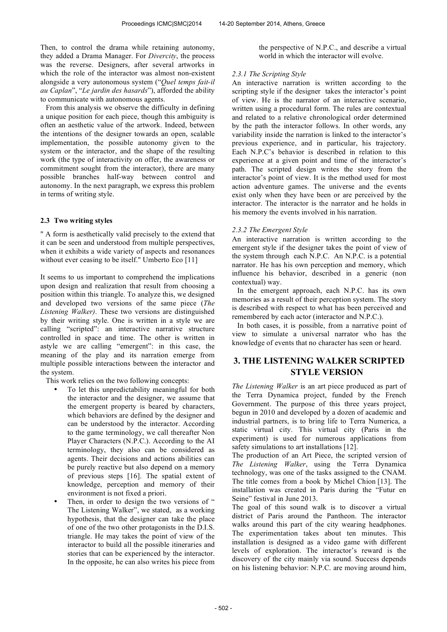Then, to control the drama while retaining autonomy, they added a Drama Manager. For *Divercity*, the process was the reverse. Designers, after several artworks in which the role of the interactor was almost non-existent alongside a very autonomous system ("*Quel temps fait-il au Caplan*", "*Le jardin des hasards*"), afforded the ability to communicate with autonomous agents.

From this analysis we observe the difficulty in defining a unique position for each piece, though this ambiguity is often an aesthetic value of the artwork. Indeed, between the intentions of the designer towards an open, scalable implementation, the possible autonomy given to the system or the interactor, and the shape of the resulting work (the type of interactivity on offer, the awareness or commitment sought from the interactor), there are many possible branches half-way between control and autonomy. In the next paragraph, we express this problem in terms of writing style.

## **2.3 Two writing styles**

" A form is aesthetically valid precisely to the extend that it can be seen and understood from multiple perspectives, when it exhibits a wide variety of aspects and resonances without ever ceasing to be itself." Umberto Eco [11]

It seems to us important to comprehend the implications upon design and realization that result from choosing a position within this triangle. To analyze this, we designed and developed two versions of the same piece (*The Listening Walker)*. These two versions are distinguished by their writing style. One is written in a style we are calling "scripted": an interactive narrative structure controlled in space and time. The other is written in astyle we are calling "emergent": in this case, the meaning of the play and its narration emerge from multiple possible interactions between the interactor and the system.

This work relies on the two following concepts:

- To let this unpredictability meaningful for both the interactor and the designer, we assume that the emergent property is beared by characters, which behaviors are defined by the designer and can be understood by the interactor. According to the game terminology, we call thereafter Non Player Characters (N.P.C.). According to the AI terminology, they also can be considered as agents. Their decisions and actions abilities can be purely reactive but also depend on a memory of previous steps [16]. The spatial extent of knowledge, perception and memory of their environment is not fixed a priori.
- Then, in order to design the two versions of " The Listening Walker", we stated, as a working hypothesis, that the designer can take the place of one of the two other protagonists in the D.I.S. triangle. He may takes the point of view of the interactor to build all the possible itineraries and stories that can be experienced by the interactor. In the opposite, he can also writes his piece from

the perspective of N.P.C., and describe a virtual world in which the interactor will evolve.

#### *2.3.1 The Scripting Style*

An interactive narration is written according to the scripting style if the designer takes the interactor's point of view. He is the narrator of an interactive scenario, written using a procedural form. The rules are contextual and related to a relative chronological order determined by the path the interactor follows. In other words, any variability inside the narration is linked to the interactor's previous experience, and in particular, his trajectory. Each N.P.C's behavior is described in relation to this experience at a given point and time of the interactor's path. The scripted design writes the story from the interactor's point of view. It is the method used for most action adventure games. The universe and the events exist only when they have been or are perceived by the interactor. The interactor is the narrator and he holds in his memory the events involved in his narration.

#### *2.3.2 The Emergent Style*

An interactive narration is written according to the emergent style if the designer takes the point of view of the system through each N.P.C. An N.P.C. is a potential narrator. He has his own perception and memory, which influence his behavior, described in a generic (non contextual) way.

In the emergent approach, each N.P.C. has its own memories as a result of their perception system. The story is described with respect to what has been perceived and remembered by each actor (interactor and N.P.C.).

In both cases, it is possible, from a narrative point of view to simulate a universal narrator who has the knowledge of events that no character has seen or heard.

# **3. THE LISTENING WALKER SCRIPTED STYLE VERSION**

*The Listening Walker* is an art piece produced as part of the Terra Dynamica project, funded by the French Government. The purpose of this three years project, begun in 2010 and developed by a dozen of academic and industrial partners, is to bring life to Terra Numerica, a static virtual city. This virtual city (Paris in the experiment) is used for numerous applications from safety simulations to art installations [12].

The production of an Art Piece, the scripted version of *The Listening Walker*, using the Terra Dynamica technology, was one of the tasks assigned to the CNAM. The title comes from a book by Michel Chion [13]. The installation was created in Paris during the "Futur en Seine" festival in June 2013.

The goal of this sound walk is to discover a virtual district of Paris around the Pantheon. The interactor walks around this part of the city wearing headphones. The experimentation takes about ten minutes. This installation is designed as a video game with different levels of exploration. The interactor's reward is the discovery of the city mainly via sound. Success depends on his listening behavior: N.P.C. are moving around him,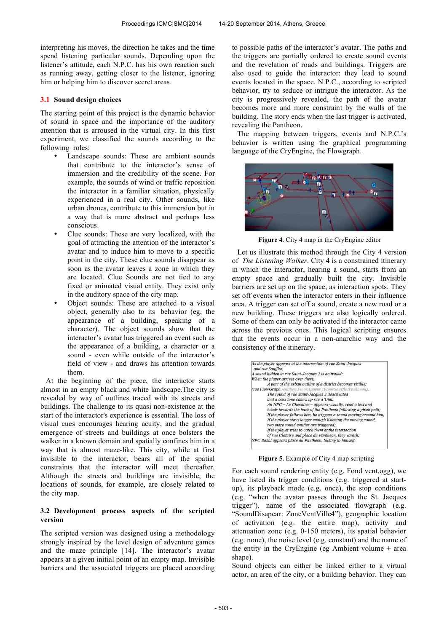interpreting his moves, the direction he takes and the time spend listening particular sounds. Depending upon the listener's attitude, each N.P.C. has his own reaction such as running away, getting closer to the listener, ignoring him or helping him to discover secret areas.

#### **3.1 Sound design choices**

The starting point of this project is the dynamic behavior of sound in space and the importance of the auditory attention that is arroused in the virtual city. In this first experiment, we classified the sounds according to the following roles:

- Landscape sounds: These are ambient sounds that contribute to the interactor's sense of immersion and the credibility of the scene. For example, the sounds of wind or traffic reposition the interactor in a familiar situation, physically experienced in a real city. Other sounds, like urban drones, contribute to this immersion but in a way that is more abstract and perhaps less conscious.
- Clue sounds: These are very localized, with the goal of attracting the attention of the interactor's avatar and to induce him to move to a specific point in the city. These clue sounds disappear as soon as the avatar leaves a zone in which they are located. Clue Sounds are not tied to any fixed or animated visual entity. They exist only in the auditory space of the city map.
- Object sounds: These are attached to a visual object, generally also to its behavior (eg, the appearance of a building, speaking of a character). The object sounds show that the interactor's avatar has triggered an event such as the appearance of a building, a character or a sound - even while outside of the interactor's field of view - and draws his attention towards them.

At the beginning of the piece, the interactor starts almost in an empty black and white landscape.The city is revealed by way of outlines traced with its streets and buildings. The challenge to its quasi non-existence at the start of the interactor's experience is essential. The loss of visual cues encourages hearing acuity, and the gradual emergence of streets and buildings at once bolsters the walker in a known domain and spatially confines him in a way that is almost maze-like. This city, while at first invisible to the interactor, bears all of the spatial constraints that the interactor will meet thereafter. Although the streets and buildings are invisible, the locations of sounds, for example, are closely related to the city map.

## **3.2 Development process aspects of the scripted version**

The scripted version was designed using a methodology strongly inspired by the level design of adventure games and the maze principle [14]. The interactor's avatar appears at a given initial point of an empty map. Invisible barriers and the associated triggers are placed according to possible paths of the interactor's avatar. The paths and the triggers are partially ordered to create sound events and the revelation of roads and buildings. Triggers are also used to guide the interactor: they lead to sound events located in the space. N.P.C., according to scripted behavior, try to seduce or intrigue the interactor. As the city is progressively revealed, the path of the avatar becomes more and more constraint by the walls of the building. The story ends when the last trigger is activated, revealing the Pantheon.

The mapping between triggers, events and N.P.C.'s behavior is written using the graphical programming language of the CryEngine, the Flowgraph.



**Figure 4**. City 4 map in the CryEngine editor

Let us illustrate this method through the City 4 version of *The Listening Walker*. City 4 is a constrained itinerary in which the interactor, hearing a sound, starts from an empty space and gradually built the city. Invisible barriers are set up on the space, as interaction spots. They set off events when the interactor enters in their influence area. A trigger can set off a sound, create a new road or a new building. These triggers are also logically ordered. Some of them can only be activated if the interactor came across the previous ones. This logical scripting ensures that the events occur in a non-anarchic way and the consistency of the itinerary.

| As the player appears at the intersection of rue Saint-Jacques<br>and rue Soufflot. |
|-------------------------------------------------------------------------------------|
| A sound hidden in rue Saint-Jacques 2 is activated;                                 |
| When the player arrives over there,                                                 |
| A part of the urban outline of a district becomes visible;                          |
| (see FlowGraph /entities/FloorAppear : FloorSoufflotPantheon).                      |
| The sound of rue Saint-Jacques 2 deactivated                                        |
| and a bass tone comes up rue d'Ulm:                                                 |
| $An$ NPC – Le Chevalier – appears visually, read a text and                         |
| heads towards the back of the Pantheon following a given path;                      |
| If the player follows him, he triggers a sound moving around him;                   |
| If the player stays longer enough listening the moving sound,                       |
| two more sound entities are triggered:                                              |
| If the player tries to catch them at the intersection                               |
| of rue Clotaire and place du Pantheon, they vanish;                                 |
| NPC Bakal appears place du Pantheon, talking to himself.                            |

**Figure 5**. Example of City 4 map scripting

For each sound rendering entity (e.g. Fond vent.ogg), we have listed its trigger conditions (e.g. triggered at startup), its playback mode (e.g. once), the stop conditions (e.g. "when the avatar passes through the St. Jacques trigger"), name of the associated flowgraph (e.g. "SoundDisapear: ZoneVentVille4"), geographic location of activation (e.g. the entire map), activity and attenuation zone (e.g. 0-150 meters), its spatial behavior (e.g. none), the noise level (e.g. constant) and the name of the entity in the CryEngine (eg Ambient volume + area shape).

Sound objects can either be linked either to a virtual actor, an area of the city, or a building behavior. They can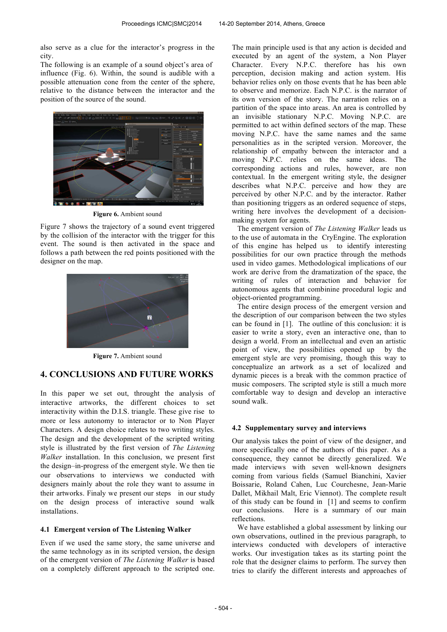also serve as a clue for the interactor's progress in the city.

The following is an example of a sound object's area of influence (Fig. 6). Within, the sound is audible with a possible attenuation cone from the center of the sphere, relative to the distance between the interactor and the position of the source of the sound.



**Figure 6.** Ambient sound

Figure 7 shows the trajectory of a sound event triggered by the collision of the interactor with the trigger for this event. The sound is then activated in the space and follows a path between the red points positioned with the designer on the map.



**Figure 7.** Ambient sound

# **4. CONCLUSIONS AND FUTURE WORKS**

In this paper we set out, throught the analysis of interactive artworks, the different choices to set interactivity within the D.I.S. triangle. These give rise to more or less autonomy to interactor or to Non Player Characters. A design choice relates to two writing styles. The design and the development of the scripted writing style is illustrated by the first version of *The Listening Walker* installation. In this conclusion, we present first the design–in-progress of the emergent style. We then tie our observations to interviews we conducted with designers mainly about the role they want to assume in their artworks. Finaly we present our steps in our study on the design process of interactive sound walk installations.

## **4.1 Emergent version of The Listening Walker**

Even if we used the same story, the same universe and the same technology as in its scripted version, the design of the emergent version of *The Listening Walker* is based on a completely different approach to the scripted one.

The main principle used is that any action is decided and executed by an agent of the system, a Non Player Character. Every N.P.C. therefore has his own perception, decision making and action system. His behavior relies only on those events that he has been able to observe and memorize. Each N.P.C. is the narrator of its own version of the story. The narration relies on a partition of the space into areas. An area is controlled by an invisible stationary N.P.C. Moving N.P.C. are permitted to act within defined sectors of the map. These moving N.P.C. have the same names and the same personalities as in the scripted version. Moreover, the relationship of empathy between the interactor and a moving N.P.C. relies on the same ideas. The corresponding actions and rules, however, are non contextual. In the emergent writing style, the designer describes what N.P.C. perceive and how they are perceived by other N.P.C. and by the interactor. Rather than positioning triggers as an ordered sequence of steps, writing here involves the development of a decisionmaking system for agents.

The emergent version of *The Listening Walker* leads us to the use of automata in the CryEngine. The exploration of this engine has helped us to identify interesting possibilities for our own practice through the methods used in video games. Methodological implications of our work are derive from the dramatization of the space, the writing of rules of interaction and behavior for autonomous agents that combinine procedural logic and object-oriented programming.

The entire design process of the emergent version and the description of our comparison between the two styles can be found in [1]. The outline of this conclusion: it is easier to write a story, even an interactive one, than to design a world. From an intellectual and even an artistic point of view, the possibilities opened up by the emergent style are very promising, though this way to conceptualize an artwork as a set of localized and dynamic pieces is a break with the common practice of music composers. The scripted style is still a much more comfortable way to design and develop an interactive sound walk.

#### **4.2 Supplementary survey and interviews**

Our analysis takes the point of view of the designer, and more specifically one of the authors of this paper. As a consequence, they cannot be directly generalized. We made interviews with seven well-known designers coming from various fields (Samuel Bianchini, Xavier Boissarie, Roland Cahen, Luc Courchesne, Jean-Marie Dallet, Mikhail Malt, Eric Viennot). The complete result of this study can be found in [1] and seems to confirm our conclusions. Here is a summary of our main reflections.

We have established a global assessment by linking our own observations, outlined in the previous paragraph, to interviews conducted with developers of interactive works. Our investigation takes as its starting point the role that the designer claims to perform. The survey then tries to clarify the different interests and approaches of